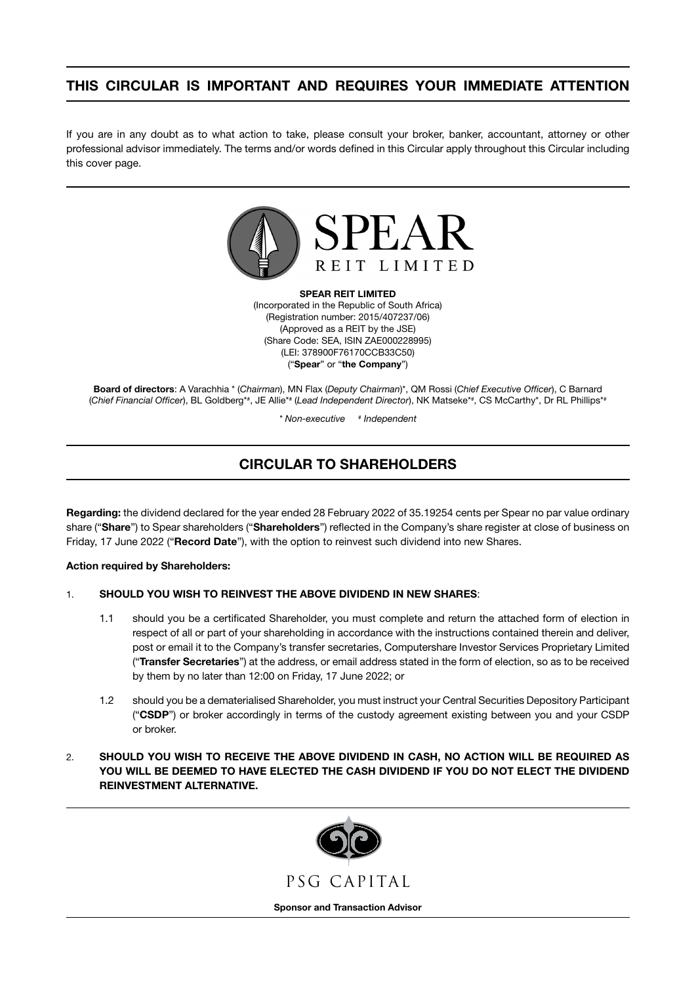# THIS CIRCULAR IS IMPORTANT AND REQUIRES YOUR IMMEDIATE ATTENTION

If you are in any doubt as to what action to take, please consult your broker, banker, accountant, attorney or other professional advisor immediately. The terms and/or words defined in this Circular apply throughout this Circular including this cover page.



SPEAR REIT LIMITED (Incorporated in the Republic of South Africa) (Registration number: 2015/407237/06) (Approved as a REIT by the JSE) (Share Code: SEA, ISIN ZAE000228995) (LEI: 378900F76170CCB33C50) ("Spear" or "the Company")

Board of directors: A Varachhia \* (*Chairman*), MN Flax (*Deputy Chairman*)\*, QM Rossi (*Chief Executive Officer*), C Barnard (Chief Financial Officer), BL Goldberg\*#, JE Allie\*# (Lead Independent Director), NK Matseke\*#, CS McCarthy\*, Dr RL Phillips\*<sup>\*</sup>

> *\* Non-executive # Independent*

# CIRCULAR TO SHAREHOLDERS

Regarding: the dividend declared for the year ended 28 February 2022 of 35.19254 cents per Spear no par value ordinary share ("Share") to Spear shareholders ("Shareholders") reflected in the Company's share register at close of business on Friday, 17 June 2022 ("Record Date"), with the option to reinvest such dividend into new Shares.

## Action required by Shareholders:

## 1. SHOULD YOU WISH TO REINVEST THE ABOVE DIVIDEND IN NEW SHARES:

- 1.1 should you be a certificated Shareholder, you must complete and return the attached form of election in respect of all or part of your shareholding in accordance with the instructions contained therein and deliver, post or email it to the Company's transfer secretaries, Computershare Investor Services Proprietary Limited ("Transfer Secretaries") at the address, or email address stated in the form of election, so as to be received by them by no later than 12:00 on Friday, 17 June 2022; or
- 1.2 should you be a dematerialised Shareholder, you must instruct your Central Securities Depository Participant ("CSDP") or broker accordingly in terms of the custody agreement existing between you and your CSDP or broker.
- 2. SHOULD YOU WISH TO RECEIVE THE ABOVE DIVIDEND IN CASH, NO ACTION WILL BE REQUIRED AS YOU WILL BE DEEMED TO HAVE ELECTED THE CASH DIVIDEND IF YOU DO NOT ELECT THE DIVIDEND REINVESTMENT ALTERNATIVE.

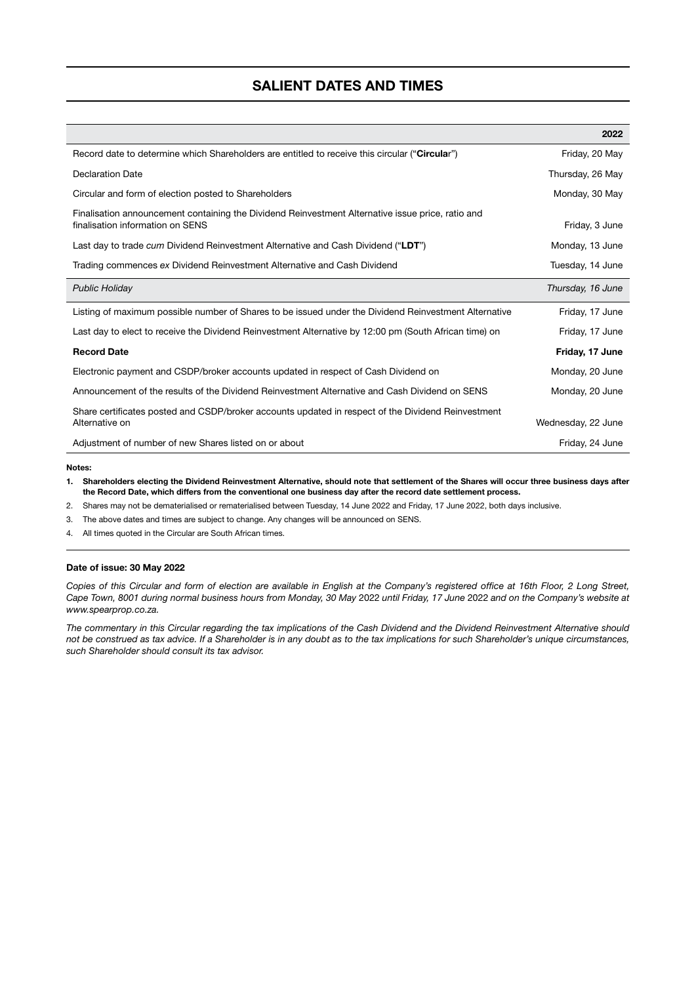## SALIENT DATES AND TIMES

|                                                                                                                                       | 2022               |
|---------------------------------------------------------------------------------------------------------------------------------------|--------------------|
| Record date to determine which Shareholders are entitled to receive this circular "Circular")                                         | Friday, 20 May     |
| <b>Declaration Date</b>                                                                                                               | Thursday, 26 May   |
| Circular and form of election posted to Shareholders                                                                                  | Monday, 30 May     |
| Finalisation announcement containing the Dividend Reinvestment Alternative issue price, ratio and<br>finalisation information on SENS | Friday, 3 June     |
| Last day to trade cum Dividend Reinvestment Alternative and Cash Dividend ("LDT")                                                     | Monday, 13 June    |
| Trading commences ex Dividend Reinvestment Alternative and Cash Dividend                                                              | Tuesday, 14 June   |
| <b>Public Holiday</b>                                                                                                                 | Thursday, 16 June  |
| Listing of maximum possible number of Shares to be issued under the Dividend Reinvestment Alternative                                 | Friday, 17 June    |
| Last day to elect to receive the Dividend Reinvestment Alternative by 12:00 pm (South African time) on                                | Friday, 17 June    |
| <b>Record Date</b>                                                                                                                    | Friday, 17 June    |
| Electronic payment and CSDP/broker accounts updated in respect of Cash Dividend on                                                    | Monday, 20 June    |
| Announcement of the results of the Dividend Reinvestment Alternative and Cash Dividend on SENS                                        | Monday, 20 June    |
| Share certificates posted and CSDP/broker accounts updated in respect of the Dividend Reinvestment<br>Alternative on                  | Wednesday, 22 June |
| Adjustment of number of new Shares listed on or about                                                                                 | Friday, 24 June    |

#### Notes:

- 1. Shareholders electing the Dividend Reinvestment Alternative, should note that settlement of the Shares will occur three business days after the Record Date, which differs from the conventional one business day after the record date settlement process.
- 2. Shares may not be dematerialised or rematerialised between Tuesday, 14 June 2022 and Friday, 17 June 2022, both days inclusive.
- 3. The above dates and times are subject to change. Any changes will be announced on SENS.
- 4. All times quoted in the Circular are South African times.

#### Date of issue: 30 May 2022

*Copies of this Circular and form of election are available in English at the Company's registered office at 16th Floor, 2 Long Street, Cape Town, 8001 during normal business hours from Monday, 30 May* 2022 *until Friday, 17 June* 2022 *and on the Company's website at [www.spearprop.co.za](http://www.spearprop.co.za).*

*The commentary in this Circular regarding the tax implications of the Cash Dividend and the Dividend Reinvestment Alternative should not be construed as tax advice. If a Shareholder is in any doubt as to the tax implications for such Shareholder's unique circumstances, such Shareholder should consult its tax advisor.*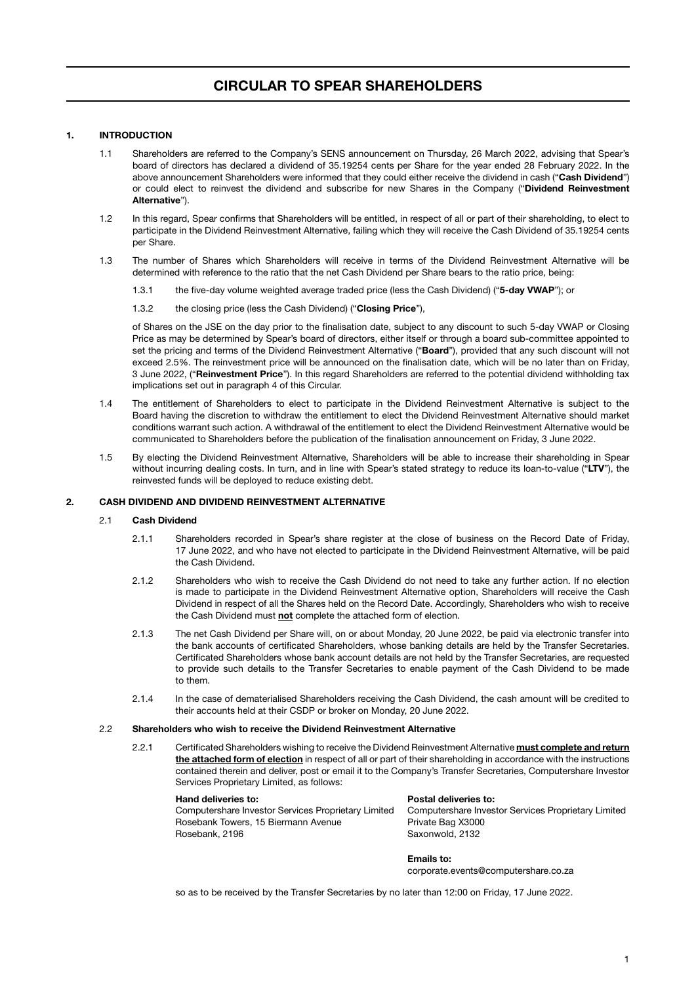## 1. INTRODUCTION

- 1.1 Shareholders are referred to the Company's SENS announcement on Thursday, 26 March 2022, advising that Spear's board of directors has declared a dividend of 35.19254 cents per Share for the year ended 28 February 2022. In the above announcement Shareholders were informed that they could either receive the dividend in cash ("Cash Dividend") or could elect to reinvest the dividend and subscribe for new Shares in the Company ("Dividend Reinvestment Alternative").
- 1.2 In this regard, Spear confirms that Shareholders will be entitled, in respect of all or part of their shareholding, to elect to participate in the Dividend Reinvestment Alternative, failing which they will receive the Cash Dividend of 35.19254 cents per Share.
- 1.3 The number of Shares which Shareholders will receive in terms of the Dividend Reinvestment Alternative will be determined with reference to the ratio that the net Cash Dividend per Share bears to the ratio price, being:
	- 1.3.1 the five-day volume weighted average traded price (less the Cash Dividend) ("5-day VWAP"); or
	- 1.3.2 the closing price (less the Cash Dividend) ("Closing Price").

<span id="page-2-0"></span>of Shares on the JSE on the day prior to the finalisation date, subject to any discount to such 5-day VWAP or Closing Price as may be determined by Spear's board of directors, either itself or through a board sub-committee appointed to set the pricing and terms of the Dividend Reinvestment Alternative ("Board"), provided that any such discount will not exceed 2.5%. The reinvestment price will be announced on the finalisation date, which will be no later than on Friday, 3 June 2022, ("Reinvestment Price"). In this regard Shareholders are referred to the potential dividend withholding tax implications set out in paragraph 4 of this Circular.

- 1.4 The entitlement of Shareholders to elect to participate in the Dividend Reinvestment Alternative is subject to the Board having the discretion to withdraw the entitlement to elect the Dividend Reinvestment Alternative should market conditions warrant such action. A withdrawal of the entitlement to elect the Dividend Reinvestment Alternative would be communicated to Shareholders before the publication of the finalisation announcement on Friday, 3 June 2022.
- 1.5 By electing the Dividend Reinvestment Alternative, Shareholders will be able to increase their shareholding in Spear without incurring dealing costs. In turn, and in line with Spear's stated strategy to reduce its loan-to-value ("LTV"), the reinvested funds will be deployed to reduce existing debt.

### 2. CASH DIVIDEND AND DIVIDEND REINVESTMENT ALTERNATIVE

#### 2.1 Cash Dividend

- 2.1.1 Shareholders recorded in Spear's share register at the close of business on the Record Date of Friday, 17 June 2022, and who have not elected to participate in the Dividend Reinvestment Alternative, will be paid the Cash Dividend.
- 2.1.2 Shareholders who wish to receive the Cash Dividend do not need to take any further action. If no election is made to participate in the Dividend Reinvestment Alternative option, Shareholders will receive the Cash Dividend in respect of all the Shares held on the Record Date. Accordingly, Shareholders who wish to receive the Cash Dividend must not complete the attached form of election.
- 2.1.3 The net Cash Dividend per Share will, on or about Monday, 20 June 2022, be paid via electronic transfer into the bank accounts of certificated Shareholders, whose banking details are held by the Transfer Secretaries. Certificated Shareholders whose bank account details are not held by the Transfer Secretaries, are requested to provide such details to the Transfer Secretaries to enable payment of the Cash Dividend to be made to them.
- 2.1.4 In the case of dematerialised Shareholders receiving the Cash Dividend, the cash amount will be credited to their accounts held at their CSDP or broker on Monday, 20 June 2022.

## 2.2 Shareholders who wish to receive the Dividend Reinvestment Alternative

2.2.1 Certificated Shareholders wishing to receive the Dividend Reinvestment Alternative must complete and return the attached form of election in respect of all or part of their shareholding in accordance with the instructions contained therein and deliver, post or email it to the Company's Transfer Secretaries, Computershare Investor Services Proprietary Limited, as follows:

#### Hand deliveries to:

Computershare Investor Services Proprietary Limited Rosebank Towers, 15 Biermann Avenue Rosebank, 2196

#### Postal deliveries to:

Computershare Investor Services Proprietary Limited Private Bag X3000 Saxonwold, 2132

#### Emails to:

[corporate.events@computershare.co.za](mailto:corporate.events@computershare.co.za)

so as to be received by the Transfer Secretaries by no later than 12:00 on Friday, 17 June 2022.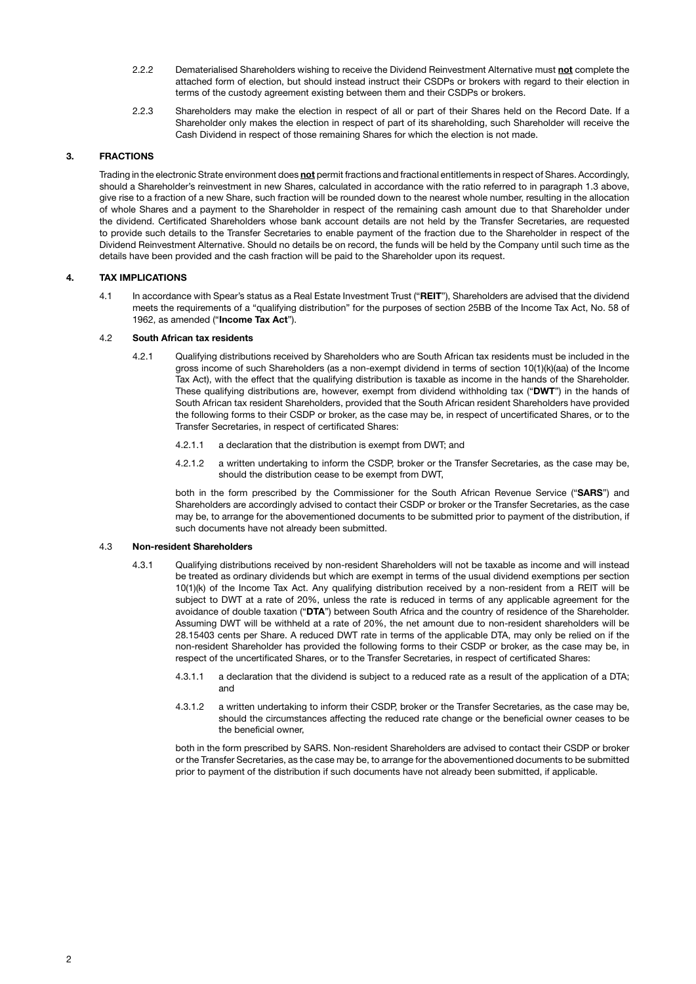- 2.2.2 Dematerialised Shareholders wishing to receive the Dividend Reinvestment Alternative must not complete the attached form of election, but should instead instruct their CSDPs or brokers with regard to their election in terms of the custody agreement existing between them and their CSDPs or brokers.
- 2.2.3 Shareholders may make the election in respect of all or part of their Shares held on the Record Date. If a Shareholder only makes the election in respect of part of its shareholding, such Shareholder will receive the Cash Dividend in respect of those remaining Shares for which the election is not made.

## 3. FRACTIONS

<span id="page-3-0"></span>Trading in the electronic Strate environment does not permit fractions and fractional entitlements in respect of Shares. Accordingly, should a Shareholder's reinvestment in new Shares, calculated in accordance with the ratio referred to in paragraph [1.3](#page-2-0) above, give rise to a fraction of a new Share, such fraction will be rounded down to the nearest whole number, resulting in the allocation of whole Shares and a payment to the Shareholder in respect of the remaining cash amount due to that Shareholder under the dividend. Certificated Shareholders whose bank account details are not held by the Transfer Secretaries, are requested to provide such details to the Transfer Secretaries to enable payment of the fraction due to the Shareholder in respect of the Dividend Reinvestment Alternative. Should no details be on record, the funds will be held by the Company until such time as the details have been provided and the cash fraction will be paid to the Shareholder upon its request.

## 4. TAX IMPLICATIONS

4.1 In accordance with Spear's status as a Real Estate Investment Trust ("REIT"), Shareholders are advised that the dividend meets the requirements of a "qualifying distribution" for the purposes of section 25BB of the Income Tax Act, No. 58 of 1962, as amended ("Income Tax Act").

## 4.2 South African tax residents

- 4.2.1 Qualifying distributions received by Shareholders who are South African tax residents must be included in the gross income of such Shareholders (as a non-exempt dividend in terms of section 10(1)(k)(aa) of the Income Tax Act), with the effect that the qualifying distribution is taxable as income in the hands of the Shareholder. These qualifying distributions are, however, exempt from dividend withholding tax ("DWT") in the hands of South African tax resident Shareholders, provided that the South African resident Shareholders have provided the following forms to their CSDP or broker, as the case may be, in respect of uncertificated Shares, or to the Transfer Secretaries, in respect of certificated Shares:
	- 4.2.1.1 a declaration that the distribution is exempt from DWT; and
	- 4.2.1.2 a written undertaking to inform the CSDP, broker or the Transfer Secretaries, as the case may be, should the distribution cease to be exempt from DWT,

both in the form prescribed by the Commissioner for the South African Revenue Service ("SARS") and Shareholders are accordingly advised to contact their CSDP or broker or the Transfer Secretaries, as the case may be, to arrange for the abovementioned documents to be submitted prior to payment of the distribution, if such documents have not already been submitted.

#### 4.3 Non-resident Shareholders

- 4.3.1 Qualifying distributions received by non-resident Shareholders will not be taxable as income and will instead be treated as ordinary dividends but which are exempt in terms of the usual dividend exemptions per section 10(1)(k) of the Income Tax Act. Any qualifying distribution received by a non-resident from a REIT will be subject to DWT at a rate of 20%, unless the rate is reduced in terms of any applicable agreement for the avoidance of double taxation ("DTA") between South Africa and the country of residence of the Shareholder. Assuming DWT will be withheld at a rate of 20%, the net amount due to non-resident shareholders will be 28.15403 cents per Share. A reduced DWT rate in terms of the applicable DTA, may only be relied on if the non-resident Shareholder has provided the following forms to their CSDP or broker, as the case may be, in respect of the uncertificated Shares, or to the Transfer Secretaries, in respect of certificated Shares:
	- 4.3.1.1 a declaration that the dividend is subject to a reduced rate as a result of the application of a DTA; and
	- 4.3.1.2 a written undertaking to inform their CSDP, broker or the Transfer Secretaries, as the case may be, should the circumstances affecting the reduced rate change or the beneficial owner ceases to be the beneficial owner,

both in the form prescribed by SARS. Non-resident Shareholders are advised to contact their CSDP or broker or the Transfer Secretaries, as the case may be, to arrange for the abovementioned documents to be submitted prior to payment of the distribution if such documents have not already been submitted, if applicable.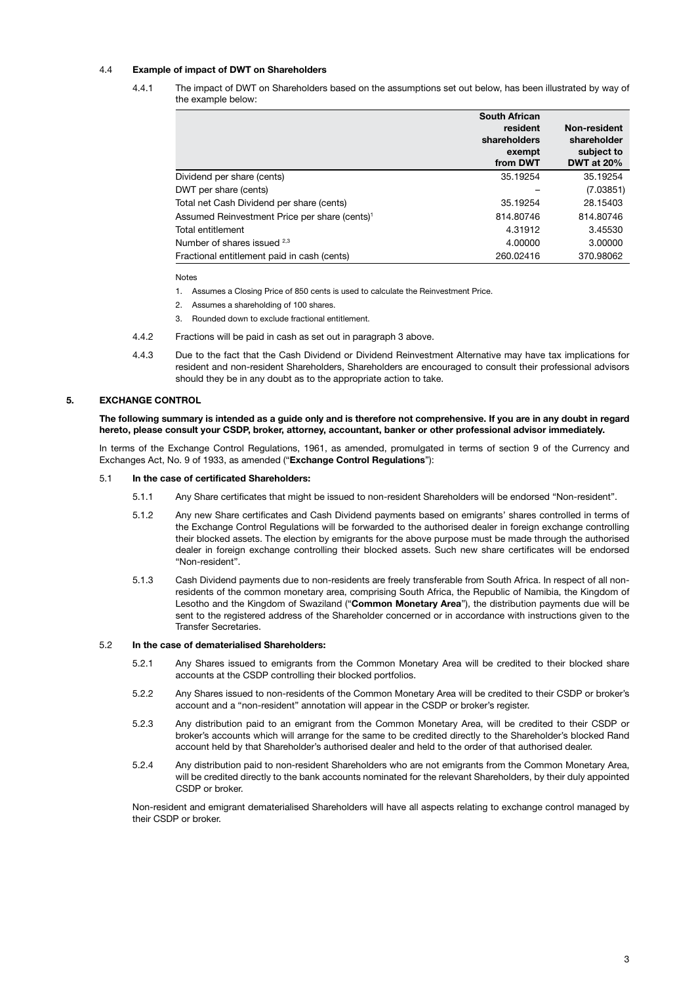## 4.4 Example of impact of DWT on Shareholders

4.4.1 The impact of DWT on Shareholders based on the assumptions set out below, has been illustrated by way of the example below:

|                                                           | <b>South African</b><br>resident<br>shareholders<br>exempt<br>from DWT | Non-resident<br>shareholder<br>subject to<br><b>DWT at 20%</b> |
|-----------------------------------------------------------|------------------------------------------------------------------------|----------------------------------------------------------------|
| Dividend per share (cents)                                | 35.19254                                                               | 35.19254                                                       |
| DWT per share (cents)                                     |                                                                        | (7.03851)                                                      |
| Total net Cash Dividend per share (cents)                 | 35.19254                                                               | 28.15403                                                       |
| Assumed Reinvestment Price per share (cents) <sup>1</sup> | 814.80746                                                              | 814.80746                                                      |
| Total entitlement                                         | 4.31912                                                                | 3.45530                                                        |
| Number of shares issued <sup>2,3</sup>                    | 4.00000                                                                | 3.00000                                                        |
| Fractional entitlement paid in cash (cents)               | 260.02416                                                              | 370.98062                                                      |

Notes

- 1. Assumes a Closing Price of 850 cents is used to calculate the Reinvestment Price.
- 2. Assumes a shareholding of 100 shares.
- 3. Rounded down to exclude fractional entitlement.
- 4.4.2 Fractions will be paid in cash as set out in paragraph [3](#page-3-0) above.
- 4.4.3 Due to the fact that the Cash Dividend or Dividend Reinvestment Alternative may have tax implications for resident and non-resident Shareholders, Shareholders are encouraged to consult their professional advisors should they be in any doubt as to the appropriate action to take.

## 5. EXCHANGE CONTROL

The following summary is intended as a guide only and is therefore not comprehensive. If you are in any doubt in regard hereto, please consult your CSDP, broker, attorney, accountant, banker or other professional advisor immediately.

In terms of the Exchange Control Regulations, 1961, as amended, promulgated in terms of section 9 of the Currency and Exchanges Act, No. 9 of 1933, as amended ("Exchange Control Regulations"):

## 5.1 In the case of certificated Shareholders:

- 5.1.1 Any Share certificates that might be issued to non-resident Shareholders will be endorsed "Non-resident".
- 5.1.2 Any new Share certificates and Cash Dividend payments based on emigrants' shares controlled in terms of the Exchange Control Regulations will be forwarded to the authorised dealer in foreign exchange controlling their blocked assets. The election by emigrants for the above purpose must be made through the authorised dealer in foreign exchange controlling their blocked assets. Such new share certificates will be endorsed "Non-resident".
- 5.1.3 Cash Dividend payments due to non-residents are freely transferable from South Africa. In respect of all nonresidents of the common monetary area, comprising South Africa, the Republic of Namibia, the Kingdom of Lesotho and the Kingdom of Swaziland ("Common Monetary Area"), the distribution payments due will be sent to the registered address of the Shareholder concerned or in accordance with instructions given to the Transfer Secretaries.

## 5.2 In the case of dematerialised Shareholders:

- 5.2.1 Any Shares issued to emigrants from the Common Monetary Area will be credited to their blocked share accounts at the CSDP controlling their blocked portfolios.
- 5.2.2 Any Shares issued to non-residents of the Common Monetary Area will be credited to their CSDP or broker's account and a "non-resident" annotation will appear in the CSDP or broker's register.
- 5.2.3 Any distribution paid to an emigrant from the Common Monetary Area, will be credited to their CSDP or broker's accounts which will arrange for the same to be credited directly to the Shareholder's blocked Rand account held by that Shareholder's authorised dealer and held to the order of that authorised dealer.
- 5.2.4 Any distribution paid to non-resident Shareholders who are not emigrants from the Common Monetary Area, will be credited directly to the bank accounts nominated for the relevant Shareholders, by their duly appointed CSDP or broker.

Non-resident and emigrant dematerialised Shareholders will have all aspects relating to exchange control managed by their CSDP or broker.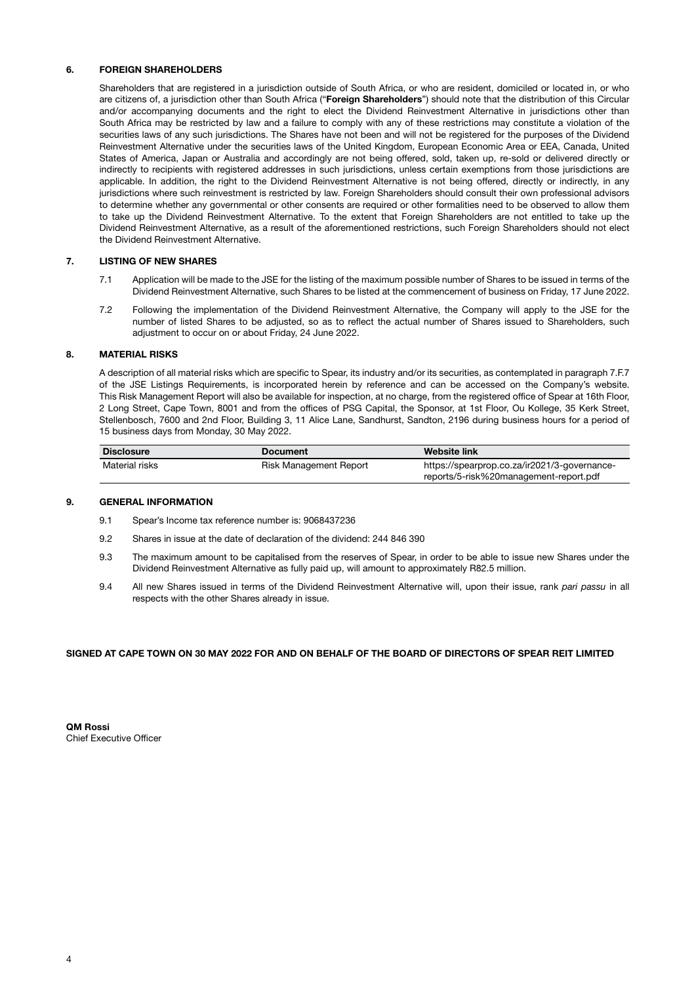## 6. FOREIGN SHAREHOLDERS

Shareholders that are registered in a jurisdiction outside of South Africa, or who are resident, domiciled or located in, or who are citizens of, a jurisdiction other than South Africa ("Foreign Shareholders") should note that the distribution of this Circular and/or accompanying documents and the right to elect the Dividend Reinvestment Alternative in jurisdictions other than South Africa may be restricted by law and a failure to comply with any of these restrictions may constitute a violation of the securities laws of any such jurisdictions. The Shares have not been and will not be registered for the purposes of the Dividend Reinvestment Alternative under the securities laws of the United Kingdom, European Economic Area or EEA, Canada, United States of America, Japan or Australia and accordingly are not being offered, sold, taken up, re-sold or delivered directly or indirectly to recipients with registered addresses in such jurisdictions, unless certain exemptions from those jurisdictions are applicable. In addition, the right to the Dividend Reinvestment Alternative is not being offered, directly or indirectly, in any jurisdictions where such reinvestment is restricted by law. Foreign Shareholders should consult their own professional advisors to determine whether any governmental or other consents are required or other formalities need to be observed to allow them to take up the Dividend Reinvestment Alternative. To the extent that Foreign Shareholders are not entitled to take up the Dividend Reinvestment Alternative, as a result of the aforementioned restrictions, such Foreign Shareholders should not elect the Dividend Reinvestment Alternative.

## 7. LISTING OF NEW SHARES

- 7.1 Application will be made to the JSE for the listing of the maximum possible number of Shares to be issued in terms of the Dividend Reinvestment Alternative, such Shares to be listed at the commencement of business on Friday, 17 June 2022.
- 7.2 Following the implementation of the Dividend Reinvestment Alternative, the Company will apply to the JSE for the number of listed Shares to be adjusted, so as to reflect the actual number of Shares issued to Shareholders, such adjustment to occur on or about Friday, 24 June 2022.

## 8. MATERIAL RISKS

A description of all material risks which are specific to Spear, its industry and/or its securities, as contemplated in paragraph 7.F.7 of the JSE Listings Requirements, is incorporated herein by reference and can be accessed on the Company's website. This Risk Management Report will also be available for inspection, at no charge, from the registered office of Spear at 16th Floor, 2 Long Street, Cape Town, 8001 and from the offices of PSG Capital, the Sponsor, at 1st Floor, Ou Kollege, 35 Kerk Street, Stellenbosch, 7600 and 2nd Floor, Building 3, 11 Alice Lane, Sandhurst, Sandton, 2196 during business hours for a period of 15 business days from Monday, 30 May 2022.

| <b>Disclosure</b> | <b>Document</b>        | <b>Website link</b>                          |
|-------------------|------------------------|----------------------------------------------|
| Material risks    | Risk Management Report | https://spearprop.co.za/ir2021/3-governance- |
|                   |                        | reports/5-risk%20management-report.pdf       |

#### 9. GENERAL INFORMATION

- 9.1 Spear's Income tax reference number is: 9068437236
- 9.2 Shares in issue at the date of declaration of the dividend: 244 846 390
- 9.3 The maximum amount to be capitalised from the reserves of Spear, in order to be able to issue new Shares under the Dividend Reinvestment Alternative as fully paid up, will amount to approximately R82.5 million.
- 9.4 All new Shares issued in terms of the Dividend Reinvestment Alternative will, upon their issue, rank *pari passu* in all respects with the other Shares already in issue.

#### SIGNED AT CAPE TOWN ON 30 MAY 2022 FOR AND ON BEHALF OF THE BOARD OF DIRECTORS OF SPEAR REIT LIMITED

QM Rossi Chief Executive Officer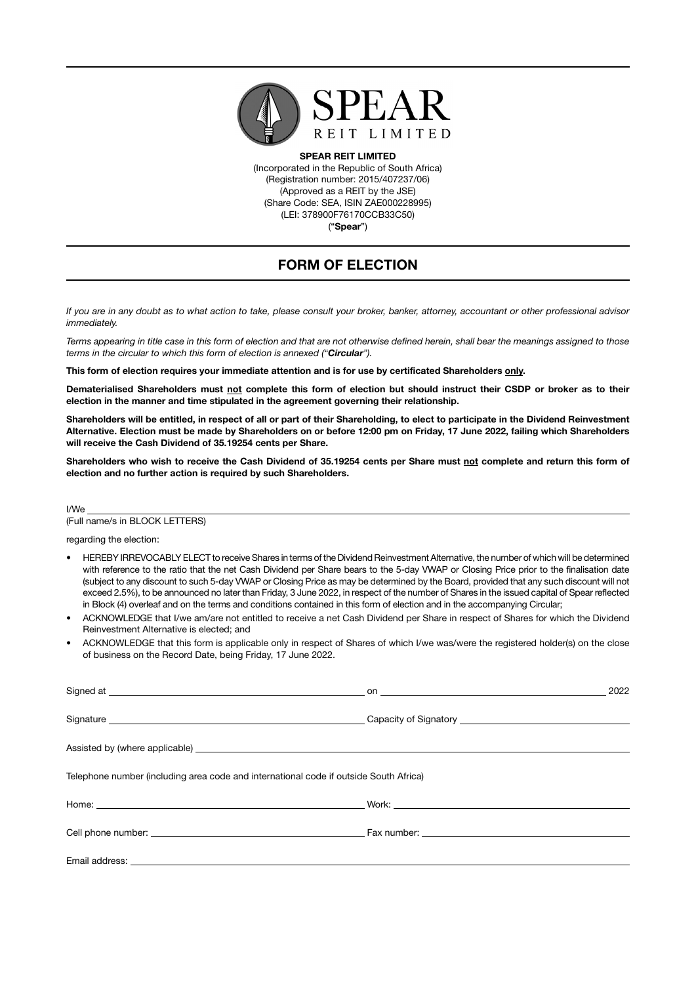

SPEAR REIT LIMITED (Incorporated in the Republic of South Africa) (Registration number: 2015/407237/06) (Approved as a REIT by the JSE) (Share Code: SEA, ISIN ZAE000228995) (LEI: 378900F76170CCB33C50) ("Spear")

# FORM OF ELECTION

*If you are in any doubt as to what action to take, please consult your broker, banker, attorney, accountant or other professional advisor immediately.* 

*Terms appearing in title case in this form of election and that are not otherwise defined herein, shall bear the meanings assigned to those terms in the circular to which this form of election is annexed ("Circular").*

This form of election requires your immediate attention and is for use by certificated Shareholders only.

Dematerialised Shareholders must not complete this form of election but should instruct their CSDP or broker as to their election in the manner and time stipulated in the agreement governing their relationship.

Shareholders will be entitled, in respect of all or part of their Shareholding, to elect to participate in the Dividend Reinvestment Alternative. Election must be made by Shareholders on or before 12:00 pm on Friday, 17 June 2022, failing which Shareholders will receive the Cash Dividend of 35.19254 cents per Share.

Shareholders who wish to receive the Cash Dividend of 35.19254 cents per Share must not complete and return this form of election and no further action is required by such Shareholders.

I/We

(Full name/s in BLOCK LETTERS)

regarding the election:

- HEREBY IRREVOCABLY ELECT to receive Shares in terms of the Dividend Reinvestment Alternative, the number of which will be determined with reference to the ratio that the net Cash Dividend per Share bears to the 5-day VWAP or Closing Price prior to the finalisation date (subject to any discount to such 5-day VWAP or Closing Price as may be determined by the Board, provided that any such discount will not exceed 2.5%), to be announced no later than Friday, 3 June 2022, in respect of the number of Shares in the issued capital of Spear reflected in Block (4) overleaf and on the terms and conditions contained in this form of election and in the accompanying Circular;
- ACKNOWLEDGE that I/we am/are not entitled to receive a net Cash Dividend per Share in respect of Shares for which the Dividend Reinvestment Alternative is elected; and
- ACKNOWLEDGE that this form is applicable only in respect of Shares of which I/we was/were the registered holder(s) on the close of business on the Record Date, being Friday, 17 June 2022.

|                                                                                                                                                                                                                                | 2022 |
|--------------------------------------------------------------------------------------------------------------------------------------------------------------------------------------------------------------------------------|------|
|                                                                                                                                                                                                                                |      |
|                                                                                                                                                                                                                                |      |
| Telephone number (including area code and international code if outside South Africa)                                                                                                                                          |      |
|                                                                                                                                                                                                                                |      |
|                                                                                                                                                                                                                                |      |
| Email address: the contract of the contract of the contract of the contract of the contract of the contract of the contract of the contract of the contract of the contract of the contract of the contract of the contract of |      |